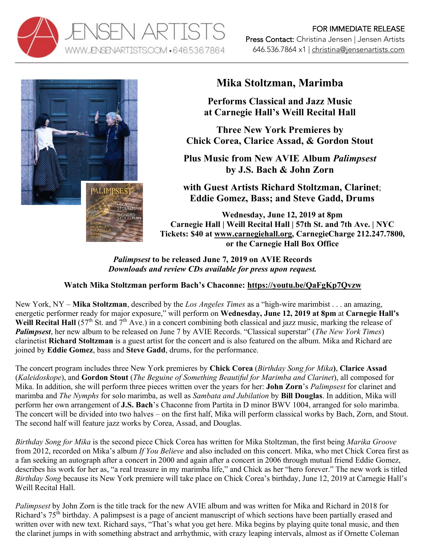



## **Mika Stoltzman, Marimba**

**Performs Classical and Jazz Music at Carnegie Hall's Weill Recital Hall**

**Three New York Premieres by Chick Corea, Clarice Assad, & Gordon Stout**

**Plus Music from New AVIE Album** *Palimpsest* **by J.S. Bach & John Zorn**

**with Guest Artists Richard Stoltzman, Clarinet**; **Eddie Gomez, Bass; and Steve Gadd, Drums**

**Wednesday, June 12, 2019 at 8pm Carnegie Hall | Weill Recital Hall | 57th St. and 7th Ave. | NYC Tickets: \$40 at www.carnegiehall.org, CarnegieCharge 212.247.7800, or the Carnegie Hall Box Office**

*Palimpsest* **to be released June 7, 2019 on AVIE Records** *Downloads and review CDs available for press upon request.*

## **Watch Mika Stoltzman perform Bach's Chaconne: https://youtu.be/QaFgKp7Qvzw**

New York, NY – **Mika Stoltzman**, described by the *Los Angeles Times* as a "high-wire marimbist . . . an amazing, energetic performer ready for major exposure," will perform on **Wednesday, June 12, 2019 at 8pm** at **Carnegie Hall's Weill Recital Hall**  $(57<sup>th</sup> St.$  and  $7<sup>th</sup> Ave.)$  in a concert combining both classical and jazz music, marking the release of *Palimpsest*, her new album to be released on June 7 by AVIE Records. "Classical superstar" (*The New York Times*) clarinetist **Richard Stoltzman** is a guest artist for the concert and is also featured on the album. Mika and Richard are joined by **Eddie Gomez**, bass and **Steve Gadd**, drums, for the performance.

The concert program includes three New York premieres by **Chick Corea** (*Birthday Song for Mika***)**, **Clarice Assad**  (*Kaleidoskope*), and **Gordon Stout** (*The Beguine of Something Beautiful for Marimba and Clarinet*), all composed for Mika. In addition, she will perform three pieces written over the years for her: **John Zorn**'s *Palimpsest* for clarinet and marimba and *The Nymphs* for solo marimba, as well as *Sambata and Jubilation* by **Bill Douglas**. In addition, Mika will perform her own arrangement of **J.S. Bach**'s Chaconne from Partita in D minor BWV 1004, arranged for solo marimba. The concert will be divided into two halves – on the first half, Mika will perform classical works by Bach, Zorn, and Stout. The second half will feature jazz works by Corea, Assad, and Douglas.

*Birthday Song for Mika* is the second piece Chick Corea has written for Mika Stoltzman, the first being *Marika Groove* from 2012, recorded on Mika's album *If You Believe* and also included on this concert. Mika, who met Chick Corea first as a fan seeking an autograph after a concert in 2000 and again after a concert in 2006 through mutual friend Eddie Gomez, describes his work for her as, "a real treasure in my marimba life," and Chick as her "hero forever." The new work is titled *Birthday Song* because its New York premiere will take place on Chick Corea's birthday, June 12, 2019 at Carnegie Hall's Weill Recital Hall.

*Palimpsest* by John Zorn is the title track for the new AVIE album and was written for Mika and Richard in 2018 for Richard's 75<sup>th</sup> birthday. A palimpsest is a page of ancient manuscript of which sections have been partially erased and written over with new text. Richard says, "That's what you get here. Mika begins by playing quite tonal music, and then the clarinet jumps in with something abstract and arrhythmic, with crazy leaping intervals, almost as if Ornette Coleman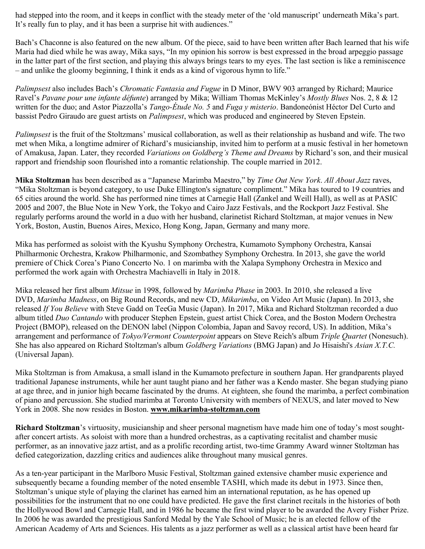had stepped into the room, and it keeps in conflict with the steady meter of the 'old manuscript' underneath Mika's part. It's really fun to play, and it has been a surprise hit with audiences."

Bach's Chaconne is also featured on the new album. Of the piece, said to have been written after Bach learned that his wife Maria had died while he was away, Mika says, "In my opinion his sorrow is best expressed in the broad arpeggio passage in the latter part of the first section, and playing this always brings tears to my eyes. The last section is like a reminiscence – and unlike the gloomy beginning, I think it ends as a kind of vigorous hymn to life."

*Palimpsest* also includes Bach's *Chromatic Fantasia and Fugue* in D Minor, BWV 903 arranged by Richard; Maurice Ravel's *Pavane pour une infante défunte*) arranged by Mika; William Thomas McKinley's *Mostly Blues* Nos. 2, 8 & 12 written for the duo; and Astor Piazzolla's *Tango-Étude No. 5* and *Fuga y misterio*. Bandoneónist Héctor Del Curto and bassist Pedro Giraudo are guest artists on *Palimpsest*, which was produced and engineered by Steven Epstein.

*Palimpsest* is the fruit of the Stoltzmans' musical collaboration, as well as their relationship as husband and wife. The two met when Mika, a longtime admirer of Richard's musicianship, invited him to perform at a music festival in her hometown of Amakusa, Japan. Later, they recorded *Variations on Goldberg's Theme and Dreams* by Richard's son, and their musical rapport and friendship soon flourished into a romantic relationship. The couple married in 2012.

**Mika Stoltzman** has been described as a "Japanese Marimba Maestro," by *Time Out New York*. *All About Jazz* raves, "Mika Stoltzman is beyond category, to use Duke Ellington's signature compliment." Mika has toured to 19 countries and 65 cities around the world. She has performed nine times at Carnegie Hall (Zankel and Weill Hall), as well as at PASIC 2005 and 2007, the Blue Note in New York, the Tokyo and Cairo Jazz Festivals, and the Rockport Jazz Festival. She regularly performs around the world in a duo with her husband, clarinetist Richard Stoltzman, at major venues in New York, Boston, Austin, Buenos Aires, Mexico, Hong Kong, Japan, Germany and many more.

Mika has performed as soloist with the Kyushu Symphony Orchestra, Kumamoto Symphony Orchestra, Kansai Philharmonic Orchestra, Krakow Philharmonic, and Szombathey Symphony Orchestra. In 2013, she gave the world premiere of Chick Corea's Piano Concerto No. 1 on marimba with the Xalapa Symphony Orchestra in Mexico and performed the work again with Orchestra Machiavelli in Italy in 2018.

Mika released her first album *Mitsue* in 1998, followed by *Marimba Phase* in 2003. In 2010, she released a live DVD, *Marimba Madness*, on Big Round Records, and new CD, *Mikarimba*, on Video Art Music (Japan). In 2013, she released *If You Believe* with Steve Gadd on TeeGa Music (Japan). In 2017, Mika and Richard Stoltzman recorded a duo album titled *Duo Cantando* with producer Stephen Epstein, guest artist Chick Corea, and the Boston Modern Orchestra Project (BMOP), released on the DENON label (Nippon Colombia, Japan and Savoy record, US). In addition, Mika's arrangement and performance of *Tokyo/Vermont Counterpoint* appears on Steve Reich's album *Triple Quartet* (Nonesuch). She has also appeared on Richard Stoltzman's album *Goldberg Variations* (BMG Japan) and Jo Hisaishi's *Asian X.T.C.* (Universal Japan).

Mika Stoltzman is from Amakusa, a small island in the Kumamoto prefecture in southern Japan. Her grandparents played traditional Japanese instruments, while her aunt taught piano and her father was a Kendo master. She began studying piano at age three, and in junior high became fascinated by the drums. At eighteen, she found the marimba, a perfect combination of piano and percussion. She studied marimba at Toronto University with members of NEXUS, and later moved to New York in 2008. She now resides in Boston. **www.mikarimba-stoltzman.com**

**Richard Stoltzman**'s virtuosity, musicianship and sheer personal magnetism have made him one of today's most soughtafter concert artists. As soloist with more than a hundred orchestras, as a captivating recitalist and chamber music performer, as an innovative jazz artist, and as a prolific recording artist, two-time Grammy Award winner Stoltzman has defied categorization, dazzling critics and audiences alike throughout many musical genres.

As a ten-year participant in the Marlboro Music Festival, Stoltzman gained extensive chamber music experience and subsequently became a founding member of the noted ensemble TASHI, which made its debut in 1973. Since then, Stoltzman's unique style of playing the clarinet has earned him an international reputation, as he has opened up possibilities for the instrument that no one could have predicted. He gave the first clarinet recitals in the histories of both the Hollywood Bowl and Carnegie Hall, and in 1986 he became the first wind player to be awarded the Avery Fisher Prize. In 2006 he was awarded the prestigious Sanford Medal by the Yale School of Music; he is an elected fellow of the American Academy of Arts and Sciences. His talents as a jazz performer as well as a classical artist have been heard far